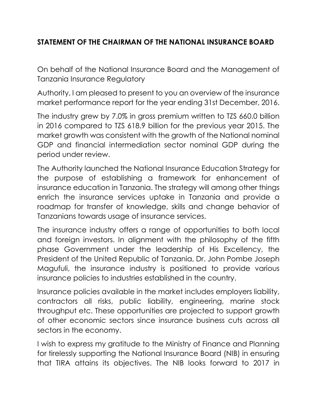## **STATEMENT OF THE CHAIRMAN OF THE NATIONAL INSURANCE BOARD**

On behalf of the National Insurance Board and the Management of Tanzania Insurance Regulatory

Authority, I am pleased to present to you an overview of the insurance market performance report for the year ending 31st December, 2016.

The industry grew by 7.0% in gross premium written to TZS 660.0 billion in 2016 compared to TZS 618.9 billion for the previous year 2015. The market growth was consistent with the growth of the National nominal GDP and financial intermediation sector nominal GDP during the period under review.

The Authority launched the National Insurance Education Strategy for the purpose of establishing a framework for enhancement of insurance education in Tanzania. The strategy will among other things enrich the insurance services uptake in Tanzania and provide a roadmap for transfer of knowledge, skills and change behavior of Tanzanians towards usage of insurance services.

The insurance industry offers a range of opportunities to both local and foreign investors. In alignment with the philosophy of the fifth phase Government under the leadership of His Excellency, the President of the United Republic of Tanzania, Dr. John Pombe Joseph Magufuli, the insurance industry is positioned to provide various insurance policies to industries established in the country.

Insurance policies available in the market includes employers liability, contractors all risks, public liability, engineering, marine stock throughput etc. These opportunities are projected to support growth of other economic sectors since insurance business cuts across all sectors in the economy.

I wish to express my gratitude to the Ministry of Finance and Planning for tirelessly supporting the National Insurance Board (NIB) in ensuring that TIRA attains its objectives. The NIB looks forward to 2017 in